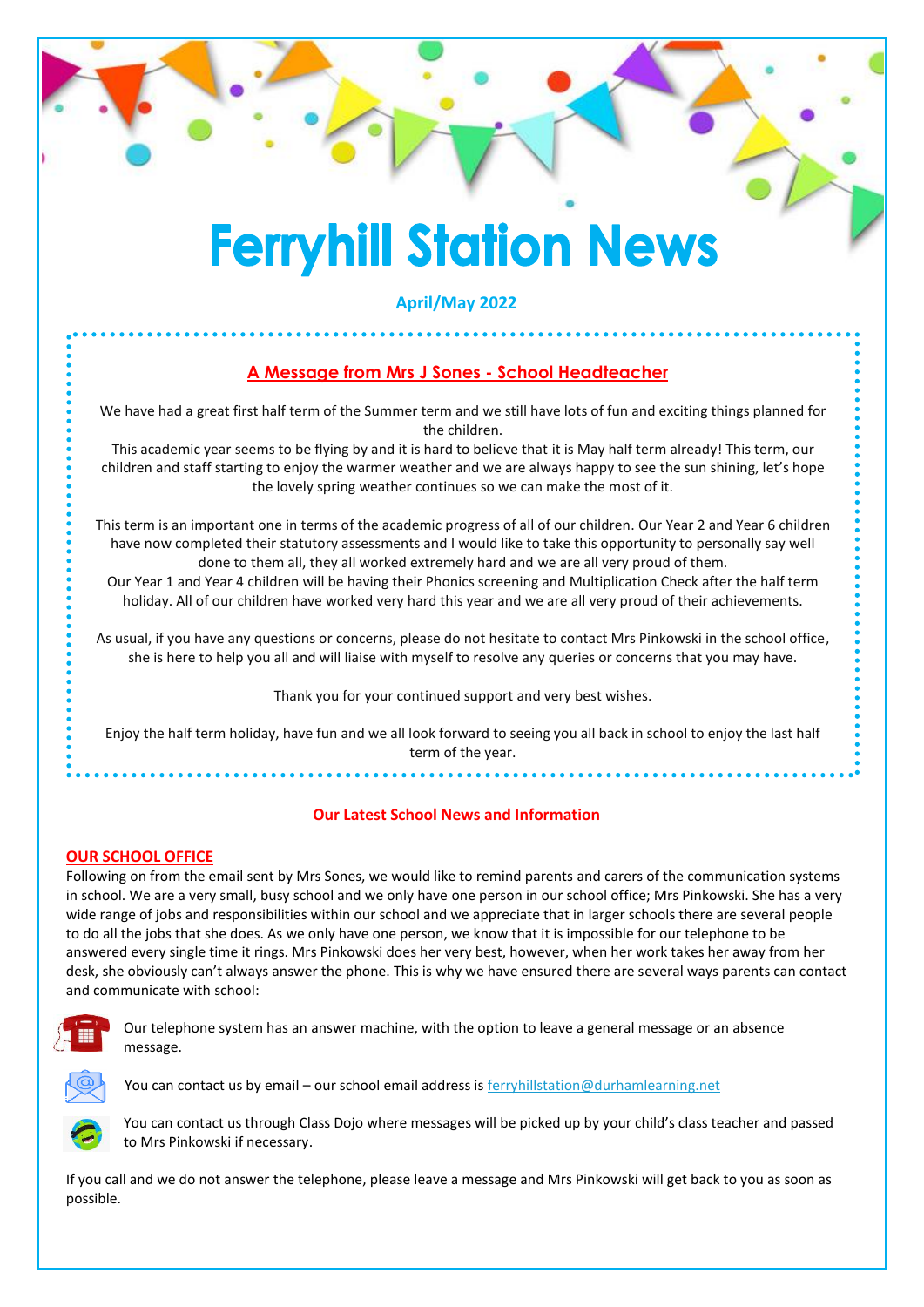# **Ferryhill Station News**

**April/May 2022**

## **A Message from Mrs J Sones - School Headteacher**

We have had a great first half term of the Summer term and we still have lots of fun and exciting things planned for the children.

This academic year seems to be flying by and it is hard to believe that it is May half term already! This term, our children and staff starting to enjoy the warmer weather and we are always happy to see the sun shining, let's hope the lovely spring weather continues so we can make the most of it.

This term is an important one in terms of the academic progress of all of our children. Our Year 2 and Year 6 children have now completed their statutory assessments and I would like to take this opportunity to personally say well done to them all, they all worked extremely hard and we are all very proud of them.

Our Year 1 and Year 4 children will be having their Phonics screening and Multiplication Check after the half term holiday. All of our children have worked very hard this year and we are all very proud of their achievements.

As usual, if you have any questions or concerns, please do not hesitate to contact Mrs Pinkowski in the school office, she is here to help you all and will liaise with myself to resolve any queries or concerns that you may have.

Thank you for your continued support and very best wishes.

Enjoy the half term holiday, have fun and we all look forward to seeing you all back in school to enjoy the last half term of the year.

## **Our Latest School News and Information**

## **OUR SCHOOL OFFICE**

Following on from the email sent by Mrs Sones, we would like to remind parents and carers of the communication systems in school. We are a very small, busy school and we only have one person in our school office; Mrs Pinkowski. She has a very wide range of jobs and responsibilities within our school and we appreciate that in larger schools there are several people to do all the jobs that she does. As we only have one person, we know that it is impossible for our telephone to be answered every single time it rings. Mrs Pinkowski does her very best, however, when her work takes her away from her desk, she obviously can't always answer the phone. This is why we have ensured there are several ways parents can contact and communicate with school:



Our telephone system has an answer machine, with the option to leave a general message or an absence message.



You can contact us by email – our school email address is [ferryhillstation@durhamlearning.net](mailto:ferryhillstation@durhamlearning.net)

You can contact us through Class Dojo where messages will be picked up by your child's class teacher and passed to Mrs Pinkowski if necessary.

If you call and we do not answer the telephone, please leave a message and Mrs Pinkowski will get back to you as soon as possible.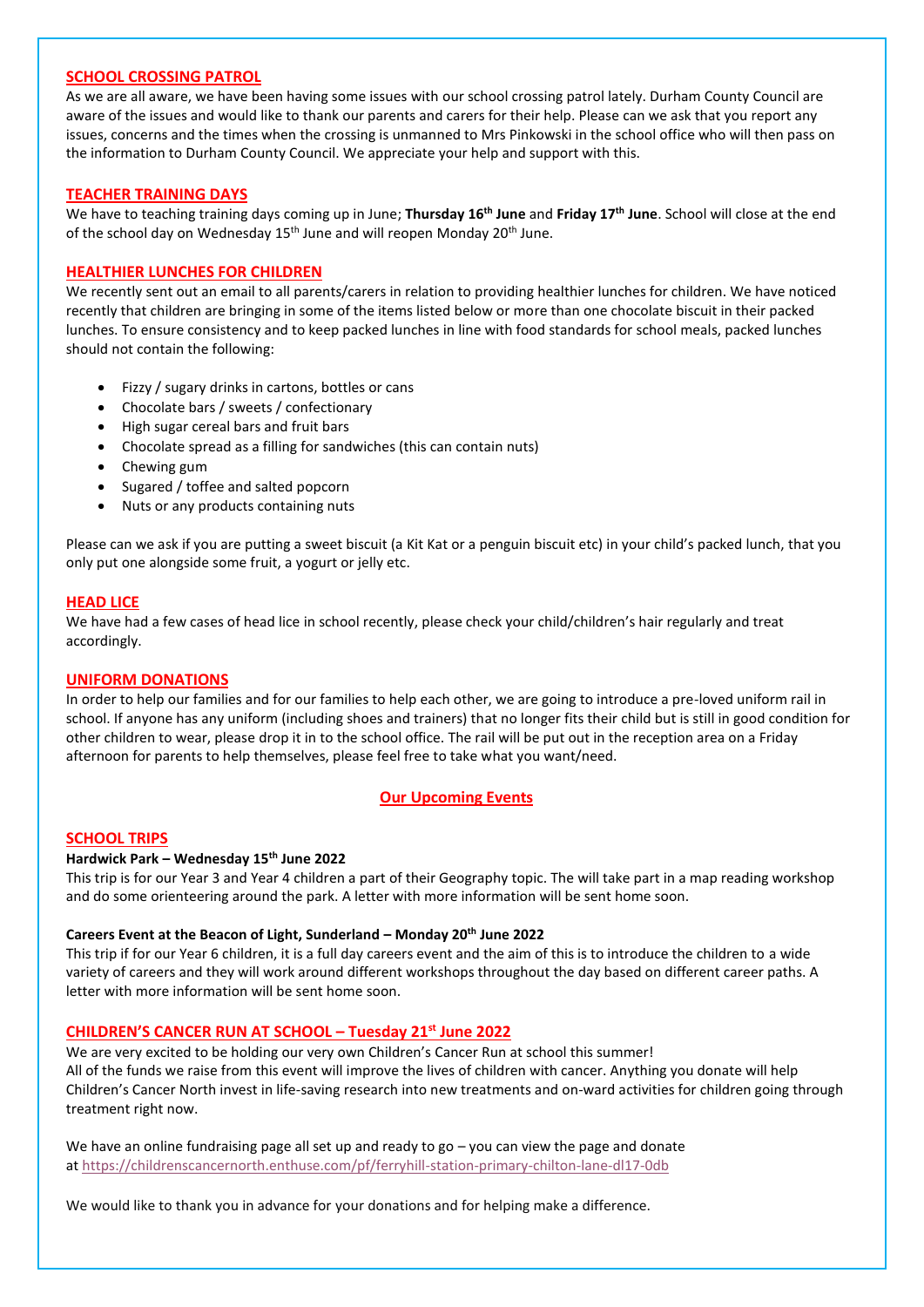#### **SCHOOL CROSSING PATROL**

As we are all aware, we have been having some issues with our school crossing patrol lately. Durham County Council are aware of the issues and would like to thank our parents and carers for their help. Please can we ask that you report any issues, concerns and the times when the crossing is unmanned to Mrs Pinkowski in the school office who will then pass on the information to Durham County Council. We appreciate your help and support with this.

#### **TEACHER TRAINING DAYS**

We have to teaching training days coming up in June; **Thursday 16th June** and **Friday 17th June**. School will close at the end of the school day on Wednesday 15<sup>th</sup> June and will reopen Monday 20<sup>th</sup> June.

## **HEALTHIER LUNCHES FOR CHILDREN**

We recently sent out an email to all parents/carers in relation to providing healthier lunches for children. We have noticed recently that children are bringing in some of the items listed below or more than one chocolate biscuit in their packed lunches. To ensure consistency and to keep packed lunches in line with food standards for school meals, packed lunches should not contain the following:

- Fizzy / sugary drinks in cartons, bottles or cans
- Chocolate bars / sweets / confectionary
- High sugar cereal bars and fruit bars
- Chocolate spread as a filling for sandwiches (this can contain nuts)
- Chewing gum
- Sugared / toffee and salted popcorn
- Nuts or any products containing nuts

Please can we ask if you are putting a sweet biscuit (a Kit Kat or a penguin biscuit etc) in your child's packed lunch, that you only put one alongside some fruit, a yogurt or jelly etc.

#### **HEAD LICE**

We have had a few cases of head lice in school recently, please check your child/children's hair regularly and treat accordingly.

## **UNIFORM DONATIONS**

In order to help our families and for our families to help each other, we are going to introduce a pre-loved uniform rail in school. If anyone has any uniform (including shoes and trainers) that no longer fits their child but is still in good condition for other children to wear, please drop it in to the school office. The rail will be put out in the reception area on a Friday afternoon for parents to help themselves, please feel free to take what you want/need.

## **Our Upcoming Events**

#### **SCHOOL TRIPS**

#### **Hardwick Park – Wednesday 15th June 2022**

This trip is for our Year 3 and Year 4 children a part of their Geography topic. The will take part in a map reading workshop and do some orienteering around the park. A letter with more information will be sent home soon.

#### **Careers Event at the Beacon of Light, Sunderland – Monday 20th June 2022**

This trip if for our Year 6 children, it is a full day careers event and the aim of this is to introduce the children to a wide variety of careers and they will work around different workshops throughout the day based on different career paths. A letter with more information will be sent home soon.

#### **CHILDREN'S CANCER RUN AT SCHOOL – Tuesday 21st June 2022**

We are very excited to be holding our very own Children's Cancer Run at school this summer! All of the funds we raise from this event will improve the lives of children with cancer. Anything you donate will help Children's Cancer North invest in life-saving research into new treatments and on-ward activities for children going through treatment right now.

We have an online fundraising page all set up and ready to go – you can view the page and donate at <https://childrenscancernorth.enthuse.com/pf/ferryhill-station-primary-chilton-lane-dl17-0db>

We would like to thank you in advance for your donations and for helping make a difference.